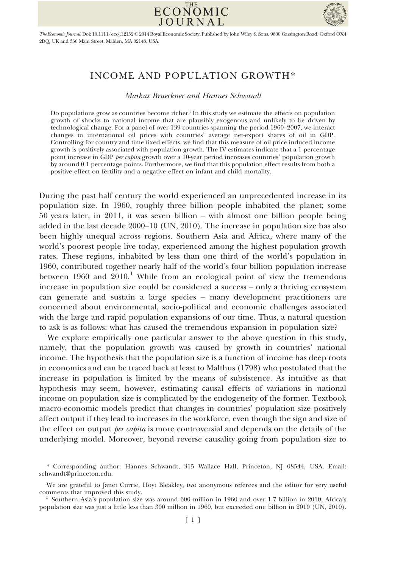



The Economic Journal, Doi: 10.1111/ecoj.12152 © 2014 Royal Economic Society. Published by John Wiley & Sons, 9600 Garsington Road, Oxford OX4 2DQ, UK and 350 Main Street, Malden, MA 02148, USA.

# INCOME AND POPULATION GROWTH\*

Markus Brueckner and Hannes Schwandt

Do populations grow as countries become richer? In this study we estimate the effects on population growth of shocks to national income that are plausibly exogenous and unlikely to be driven by technological change. For a panel of over 139 countries spanning the period 1960–2007, we interact changes in international oil prices with countries' average net-export shares of oil in GDP. Controlling for country and time fixed effects, we find that this measure of oil price induced income growth is positively associated with population growth. The IV estimates indicate that a 1 percentage point increase in GDP *per capita* growth over a 10-year period increases countries' population growth by around 0.1 percentage points. Furthermore, we find that this population effect results from both a positive effect on fertility and a negative effect on infant and child mortality.

During the past half century the world experienced an unprecedented increase in its population size. In 1960, roughly three billion people inhabited the planet; some 50 years later, in 2011, it was seven billion – with almost one billion people being added in the last decade 2000–10 (UN, 2010). The increase in population size has also been highly unequal across regions. Southern Asia and Africa, where many of the world's poorest people live today, experienced among the highest population growth rates. These regions, inhabited by less than one third of the world's population in 1960, contributed together nearly half of the world's four billion population increase between 1960 and  $2010<sup>1</sup>$  While from an ecological point of view the tremendous increase in population size could be considered a success – only a thriving ecosystem can generate and sustain a large species – many development practitioners are concerned about environmental, socio-political and economic challenges associated with the large and rapid population expansions of our time. Thus, a natural question to ask is as follows: what has caused the tremendous expansion in population size?

We explore empirically one particular answer to the above question in this study, namely, that the population growth was caused by growth in countries' national income. The hypothesis that the population size is a function of income has deep roots in economics and can be traced back at least to Malthus (1798) who postulated that the increase in population is limited by the means of subsistence. As intuitive as that hypothesis may seem, however, estimating causal effects of variations in national income on population size is complicated by the endogeneity of the former. Textbook macro-economic models predict that changes in countries' population size positively affect output if they lead to increases in the workforce, even though the sign and size of the effect on output *per capita* is more controversial and depends on the details of the underlying model. Moreover, beyond reverse causality going from population size to

<sup>\*</sup> Corresponding author: Hannes Schwandt, 315 Wallace Hall, Princeton, NJ 08544, USA. Email: schwandt@princeton.edu.

We are grateful to Janet Currie, Hoyt Bleakley, two anonymous referees and the editor for very useful

<sup>&</sup>lt;sup>1</sup> Southern Asia's population size was around 600 million in 1960 and over 1.7 billion in 2010; Africa's population size was just a little less than 300 million in 1960, but exceeded one billion in 2010 (UN, 2010).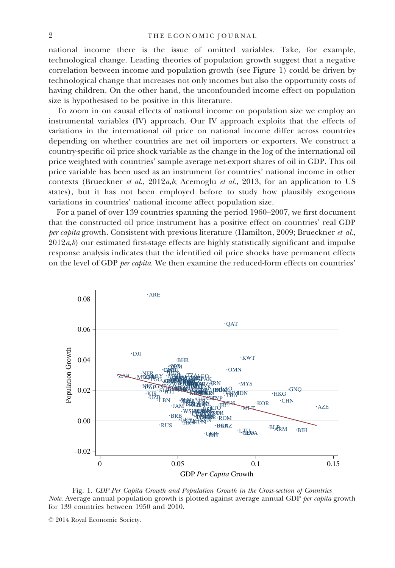national income there is the issue of omitted variables. Take, for example, technological change. Leading theories of population growth suggest that a negative correlation between income and population growth (see Figure 1) could be driven by technological change that increases not only incomes but also the opportunity costs of having children. On the other hand, the unconfounded income effect on population size is hypothesised to be positive in this literature.

To zoom in on causal effects of national income on population size we employ an instrumental variables (IV) approach. Our IV approach exploits that the effects of variations in the international oil price on national income differ across countries depending on whether countries are net oil importers or exporters. We construct a country-specific oil price shock variable as the change in the log of the international oil price weighted with countries' sample average net-export shares of oil in GDP. This oil price variable has been used as an instrument for countries' national income in other contexts (Brueckner et al.,  $2012a,b$ ; Acemoglu et al., 2013, for an application to US states), but it has not been employed before to study how plausibly exogenous variations in countries' national income affect population size.

For a panel of over 139 countries spanning the period 1960–2007, we first document that the constructed oil price instrument has a positive effect on countries' real GDP per capita growth. Consistent with previous literature (Hamilton, 2009; Brueckner et al.,  $2012a,b$  our estimated first-stage effects are highly statistically significant and impulse response analysis indicates that the identified oil price shocks have permanent effects on the level of GDP per capita. We then examine the reduced-form effects on countries'



Fig. 1. GDP Per Capita Growth and Population Growth in the Cross-section of Countries *Note.* Average annual population growth is plotted against average annual GDP *per capita* growth for 139 countries between 1950 and 2010.

<sup>©</sup> 2014 Royal Economic Society.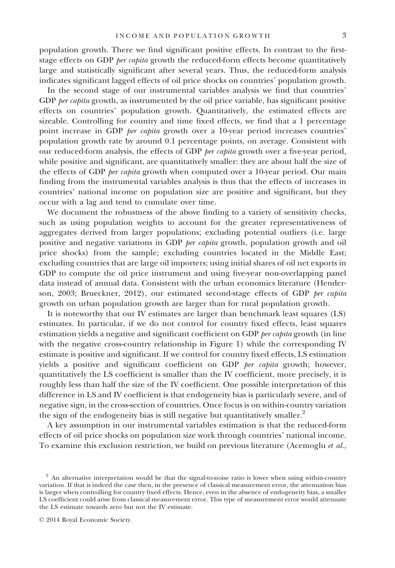population growth. There we find significant positive effects. In contrast to the firststage effects on GDP *per capita* growth the reduced-form effects become quantitatively large and statistically significant after several years. Thus, the reduced-form analysis indicates significant lagged effects of oil price shocks on countries' population growth.

In the second stage of our instrumental variables analysis we find that countries' GDP *per capita* growth, as instrumented by the oil price variable, has significant positive effects on countries' population growth. Quantitatively, the estimated effects are sizeable. Controlling for country and time fixed effects, we find that a 1 percentage point increase in GDP *per capita* growth over a 10-year period increases countries' population growth rate by around 0.1 percentage points, on average. Consistent with our reduced-form analysis, the effects of GDP per capita growth over a five-year period, while positive and significant, are quantitatively smaller: they are about half the size of the effects of GDP per capita growth when computed over a 10-year period. Our main finding from the instrumental variables analysis is thus that the effects of increases in countries' national income on population size are positive and significant, but they occur with a lag and tend to cumulate over time.

We document the robustness of the above finding to a variety of sensitivity checks, such as using population weights to account for the greater representativeness of aggregates derived from larger populations; excluding potential outliers (i.e. large positive and negative variations in GDP *per capita* growth, population growth and oil price shocks) from the sample; excluding countries located in the Middle East; excluding countries that are large oil importers; using initial shares of oil net exports in GDP to compute the oil price instrument and using five-year non-overlapping panel data instead of annual data. Consistent with the urban economics literature (Henderson, 2003; Brueckner, 2012), our estimated second-stage effects of GDP per capita growth on urban population growth are larger than for rural population growth.

It is noteworthy that our IV estimates are larger than benchmark least squares (LS) estimates. In particular, if we do not control for country fixed effects, least squares estimation yields a negative and significant coefficient on GDP *per capita* growth (in line with the negative cross-country relationship in Figure 1) while the corresponding IV estimate is positive and significant. If we control for country fixed effects, LS estimation yields a positive and significant coefficient on GDP per capita growth; however, quantitatively the LS coefficient is smaller than the IV coefficient, more precisely, it is roughly less than half the size of the IV coefficient. One possible interpretation of this difference in LS and IV coefficient is that endogeneity bias is particularly severe, and of negative sign, in the cross-section of countries. Once focus is on within-country variation the sign of the endogeneity bias is still negative but quantitatively smaller.<sup>2</sup>

A key assumption in our instrumental variables estimation is that the reduced-form effects of oil price shocks on population size work through countries' national income. To examine this exclusion restriction, we build on previous literature (Acemoglu et al.,

<sup>&</sup>lt;sup>2</sup> An alternative interpretation would be that the signal-to-noise ratio is lower when using within-country variation. If that is indeed the case then, in the presence of classical measurement error, the attenuation bias is larger when controlling for country fixed effects. Hence, even in the absence of endogeneity bias, a smaller LS coefficient could arise from classical measurement error. This type of measurement error would attenuate the LS estimate towards zero but not the IV estimate.

<sup>©</sup> 2014 Royal Economic Society.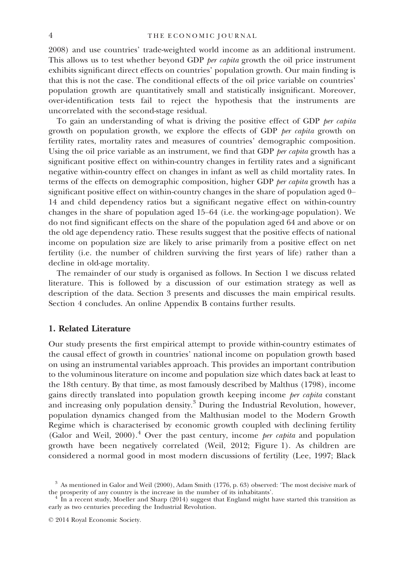2008) and use countries' trade-weighted world income as an additional instrument. This allows us to test whether beyond GDP per capita growth the oil price instrument exhibits significant direct effects on countries' population growth. Our main finding is that this is not the case. The conditional effects of the oil price variable on countries' population growth are quantitatively small and statistically insignificant. Moreover, over-identification tests fail to reject the hypothesis that the instruments are uncorrelated with the second-stage residual.

To gain an understanding of what is driving the positive effect of GDP per capita growth on population growth, we explore the effects of GDP *per capita* growth on fertility rates, mortality rates and measures of countries' demographic composition. Using the oil price variable as an instrument, we find that GDP *per capita* growth has a significant positive effect on within-country changes in fertility rates and a significant negative within-country effect on changes in infant as well as child mortality rates. In terms of the effects on demographic composition, higher GDP *per capita* growth has a significant positive effect on within-country changes in the share of population aged 0– 14 and child dependency ratios but a significant negative effect on within-country changes in the share of population aged 15–64 (i.e. the working-age population). We do not find significant effects on the share of the population aged 64 and above or on the old age dependency ratio. These results suggest that the positive effects of national income on population size are likely to arise primarily from a positive effect on net fertility (i.e. the number of children surviving the first years of life) rather than a decline in old-age mortality.

The remainder of our study is organised as follows. In Section 1 we discuss related literature. This is followed by a discussion of our estimation strategy as well as description of the data. Section 3 presents and discusses the main empirical results. Section 4 concludes. An online Appendix B contains further results.

## 1. Related Literature

Our study presents the first empirical attempt to provide within-country estimates of the causal effect of growth in countries' national income on population growth based on using an instrumental variables approach. This provides an important contribution to the voluminous literature on income and population size which dates back at least to the 18th century. By that time, as most famously described by Malthus (1798), income gains directly translated into population growth keeping income per capita constant and increasing only population density.<sup>3</sup> During the Industrial Revolution, however, population dynamics changed from the Malthusian model to the Modern Growth Regime which is characterised by economic growth coupled with declining fertility (Galor and Weil, 2000).<sup>4</sup> Over the past century, income *per capita* and population growth have been negatively correlated (Weil, 2012; Figure 1). As children are considered a normal good in most modern discussions of fertility (Lee, 1997; Black

 $3$  As mentioned in Galor and Weil (2000), Adam Smith (1776, p. 63) observed: 'The most decisive mark of the prosperity of any country is the increase in the number of its inhabitants'.

In a recent study, Moeller and Sharp (2014) suggest that England might have started this transition as early as two centuries preceding the Industrial Revolution.

<sup>©</sup> 2014 Royal Economic Society.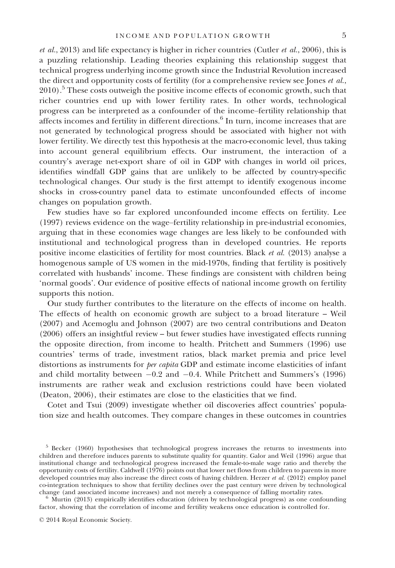et al., 2013) and life expectancy is higher in richer countries (Cutler et al., 2006), this is a puzzling relationship. Leading theories explaining this relationship suggest that technical progress underlying income growth since the Industrial Revolution increased the direct and opportunity costs of fertility (for a comprehensive review see Jones *et al.*, 2010).<sup>5</sup> These costs outweigh the positive income effects of economic growth, such that richer countries end up with lower fertility rates. In other words, technological progress can be interpreted as a confounder of the income–fertility relationship that affects incomes and fertility in different directions.<sup>6</sup> In turn, income increases that are not generated by technological progress should be associated with higher not with lower fertility. We directly test this hypothesis at the macro-economic level, thus taking into account general equilibrium effects. Our instrument, the interaction of a country's average net-export share of oil in GDP with changes in world oil prices, identifies windfall GDP gains that are unlikely to be affected by country-specific technological changes. Our study is the first attempt to identify exogenous income shocks in cross-country panel data to estimate unconfounded effects of income changes on population growth.

Few studies have so far explored unconfounded income effects on fertility. Lee (1997) reviews evidence on the wage–fertility relationship in pre-industrial economies, arguing that in these economies wage changes are less likely to be confounded with institutional and technological progress than in developed countries. He reports positive income elasticities of fertility for most countries. Black et al. (2013) analyse a homogenous sample of US women in the mid-1970s, finding that fertility is positively correlated with husbands' income. These findings are consistent with children being 'normal goods'. Our evidence of positive effects of national income growth on fertility supports this notion.

Our study further contributes to the literature on the effects of income on health. The effects of health on economic growth are subject to a broad literature – Weil (2007) and Acemoglu and Johnson (2007) are two central contributions and Deaton (2006) offers an insightful review – but fewer studies have investigated effects running the opposite direction, from income to health. Pritchett and Summers (1996) use countries' terms of trade, investment ratios, black market premia and price level distortions as instruments for *per capita* GDP and estimate income elasticities of infant and child mortality between  $-0.2$  and  $-0.4$ . While Pritchett and Summers's (1996) instruments are rather weak and exclusion restrictions could have been violated (Deaton, 2006), their estimates are close to the elasticities that we find.

Cotet and Tsui (2009) investigate whether oil discoveries affect countries' population size and health outcomes. They compare changes in these outcomes in countries

<sup>&</sup>lt;sup>5</sup> Becker (1960) hypothesises that technological progress increases the returns to investments into children and therefore induces parents to substitute quality for quantity. Galor and Weil (1996) argue that institutional change and technological progress increased the female-to-male wage ratio and thereby the opportunity costs of fertility. Caldwell (1976) points out that lower net flows from children to parents in more developed countries may also increase the direct costs of having children. Herzer et al. (2012) employ panel co-integration techniques to show that fertility declines over the past century were driven by technological change (and associated income increases) and not merely a consequence of falling mortality rates.

 $6$  Murtin (2013) empirically identifies education (driven by technological progress) as one confounding factor, showing that the correlation of income and fertility weakens once education is controlled for.

<sup>©</sup> 2014 Royal Economic Society.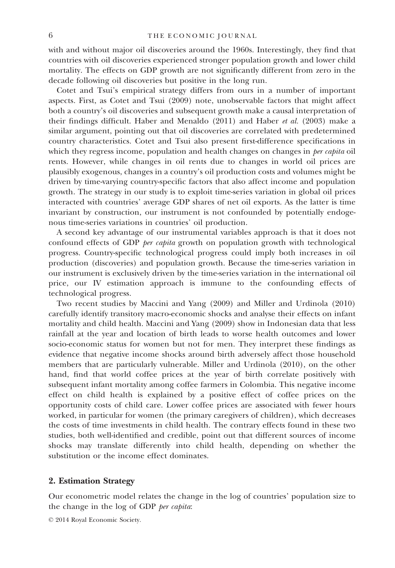with and without major oil discoveries around the 1960s. Interestingly, they find that countries with oil discoveries experienced stronger population growth and lower child mortality. The effects on GDP growth are not significantly different from zero in the decade following oil discoveries but positive in the long run.

Cotet and Tsui's empirical strategy differs from ours in a number of important aspects. First, as Cotet and Tsui (2009) note, unobservable factors that might affect both a country's oil discoveries and subsequent growth make a causal interpretation of their findings difficult. Haber and Menaldo (2011) and Haber et al. (2003) make a similar argument, pointing out that oil discoveries are correlated with predetermined country characteristics. Cotet and Tsui also present first-difference specifications in which they regress income, population and health changes on changes in *per capita* oil rents. However, while changes in oil rents due to changes in world oil prices are plausibly exogenous, changes in a country's oil production costs and volumes might be driven by time-varying country-specific factors that also affect income and population growth. The strategy in our study is to exploit time-series variation in global oil prices interacted with countries' average GDP shares of net oil exports. As the latter is time invariant by construction, our instrument is not confounded by potentially endogenous time-series variations in countries' oil production.

A second key advantage of our instrumental variables approach is that it does not confound effects of GDP per capita growth on population growth with technological progress. Country-specific technological progress could imply both increases in oil production (discoveries) and population growth. Because the time-series variation in our instrument is exclusively driven by the time-series variation in the international oil price, our IV estimation approach is immune to the confounding effects of technological progress.

Two recent studies by Maccini and Yang (2009) and Miller and Urdinola (2010) carefully identify transitory macro-economic shocks and analyse their effects on infant mortality and child health. Maccini and Yang (2009) show in Indonesian data that less rainfall at the year and location of birth leads to worse health outcomes and lower socio-economic status for women but not for men. They interpret these findings as evidence that negative income shocks around birth adversely affect those household members that are particularly vulnerable. Miller and Urdinola (2010), on the other hand, find that world coffee prices at the year of birth correlate positively with subsequent infant mortality among coffee farmers in Colombia. This negative income effect on child health is explained by a positive effect of coffee prices on the opportunity costs of child care. Lower coffee prices are associated with fewer hours worked, in particular for women (the primary caregivers of children), which decreases the costs of time investments in child health. The contrary effects found in these two studies, both well-identified and credible, point out that different sources of income shocks may translate differently into child health, depending on whether the substitution or the income effect dominates.

## 2. Estimation Strategy

Our econometric model relates the change in the log of countries' population size to the change in the log of GDP per capita:

```
© 2014 Royal Economic Society.
```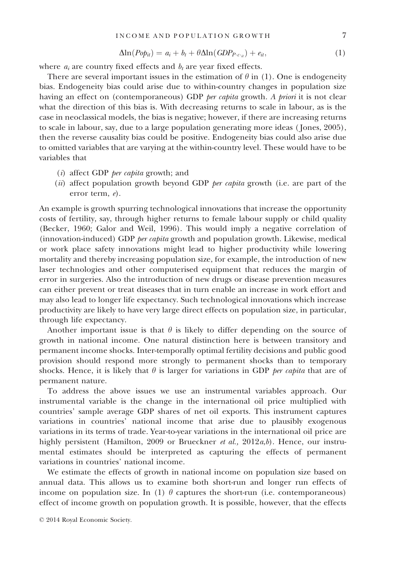$$
\Delta \ln (P \circ p_{it}) = a_i + b_t + \theta \Delta \ln (GDP_{P \cdot c_{it}}) + e_{it}, \qquad (1)
$$

where  $a_i$  are country fixed effects and  $b_t$  are year fixed effects.

There are several important issues in the estimation of  $\theta$  in (1). One is endogeneity bias. Endogeneity bias could arise due to within-country changes in population size having an effect on (contemporaneous) GDP *per capita* growth. A *priori* it is not clear what the direction of this bias is. With decreasing returns to scale in labour, as is the case in neoclassical models, the bias is negative; however, if there are increasing returns to scale in labour, say, due to a large population generating more ideas ( Jones, 2005), then the reverse causality bias could be positive. Endogeneity bias could also arise due to omitted variables that are varying at the within-country level. These would have to be variables that

- (i) affect GDP per capita growth; and
- (ii) affect population growth beyond GDP *per capita* growth (i.e. are part of the error term, e).

An example is growth spurring technological innovations that increase the opportunity costs of fertility, say, through higher returns to female labour supply or child quality (Becker, 1960; Galor and Weil, 1996). This would imply a negative correlation of (innovation-induced) GDP per capita growth and population growth. Likewise, medical or work place safety innovations might lead to higher productivity while lowering mortality and thereby increasing population size, for example, the introduction of new laser technologies and other computerised equipment that reduces the margin of error in surgeries. Also the introduction of new drugs or disease prevention measures can either prevent or treat diseases that in turn enable an increase in work effort and may also lead to longer life expectancy. Such technological innovations which increase productivity are likely to have very large direct effects on population size, in particular, through life expectancy.

Another important issue is that  $\theta$  is likely to differ depending on the source of growth in national income. One natural distinction here is between transitory and permanent income shocks. Inter-temporally optimal fertility decisions and public good provision should respond more strongly to permanent shocks than to temporary shocks. Hence, it is likely that  $\theta$  is larger for variations in GDP *per capita* that are of permanent nature.

To address the above issues we use an instrumental variables approach. Our instrumental variable is the change in the international oil price multiplied with countries' sample average GDP shares of net oil exports. This instrument captures variations in countries' national income that arise due to plausibly exogenous variations in its terms of trade. Year-to-year variations in the international oil price are highly persistent (Hamilton, 2009 or Brueckner et al., 2012a,b). Hence, our instrumental estimates should be interpreted as capturing the effects of permanent variations in countries' national income.

We estimate the effects of growth in national income on population size based on annual data. This allows us to examine both short-run and longer run effects of income on population size. In (1)  $\theta$  captures the short-run (i.e. contemporaneous) effect of income growth on population growth. It is possible, however, that the effects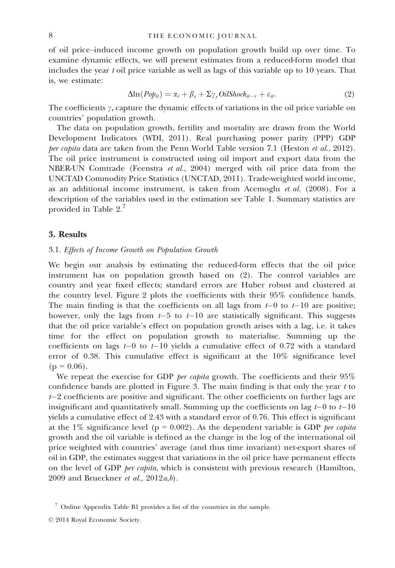of oil price–induced income growth on population growth build up over time. To examine dynamic effects, we will present estimates from a reduced-form model that includes the year t oil price variable as well as lags of this variable up to 10 years. That is, we estimate:

$$
\Delta \ln (P \circ \phi_{it}) = \alpha_i + \beta_t + \Sigma \gamma_r \text{Oil} \text{Shock}_{it-r} + \varepsilon_{it}.
$$
\n<sup>(2)</sup>

The coefficients  $\gamma_r$  capture the dynamic effects of variations in the oil price variable on countries' population growth.

The data on population growth, fertility and mortality are drawn from the World Development Indicators (WDI, 2011). Real purchasing power parity (PPP) GDP per capita data are taken from the Penn World Table version 7.1 (Heston et al., 2012). The oil price instrument is constructed using oil import and export data from the NBER-UN Comtrade (Feenstra et al., 2004) merged with oil price data from the UNCTAD Commodity Price Statistics (UNCTAD, 2011). Trade-weighted world income, as an additional income instrument, is taken from Acemoglu  $et$  al. (2008). For a description of the variables used in the estimation see Table 1. Summary statistics are provided in Table 2.7

### 3. Results

### 3.1. Effects of Income Growth on Population Growth

We begin our analysis by estimating the reduced-form effects that the oil price instrument has on population growth based on (2). The control variables are country and year fixed effects; standard errors are Huber robust and clustered at the country level. Figure 2 plots the coefficients with their 95% confidence bands. The main finding is that the coefficients on all lags from  $t-0$  to  $t-10$  are positive; however, only the lags from  $t-5$  to  $t-10$  are statistically significant. This suggests that the oil price variable's effect on population growth arises with a lag, i.e. it takes time for the effect on population growth to materialise. Summing up the coefficients on lags  $t-0$  to  $t-10$  yields a cumulative effect of 0.72 with a standard error of 0.38. This cumulative effect is significant at the 10% significance level  $(p = 0.06)$ .

We repeat the exercise for GDP per capita growth. The coefficients and their  $95\%$ confidence bands are plotted in Figure 3. The main finding is that only the year  $t$  to  $t-2$  coefficients are positive and significant. The other coefficients on further lags are insignificant and quantitatively small. Summing up the coefficients on lag  $t-0$  to  $t-10$ yields a cumulative effect of 2.43 with a standard error of 0.76. This effect is significant at the 1% significance level ( $p = 0.002$ ). As the dependent variable is GDP *per capita* growth and the oil variable is defined as the change in the log of the international oil price weighted with countries' average (and thus time invariant) net-export shares of oil in GDP, the estimates suggest that variations in the oil price have permanent effects on the level of GDP per capita, which is consistent with previous research (Hamilton, 2009 and Brueckner et al.,  $2012a,b$ ).

<sup>7</sup> Online Appendix Table B1 provides a list of the countries in the sample.

<sup>©</sup> 2014 Royal Economic Society.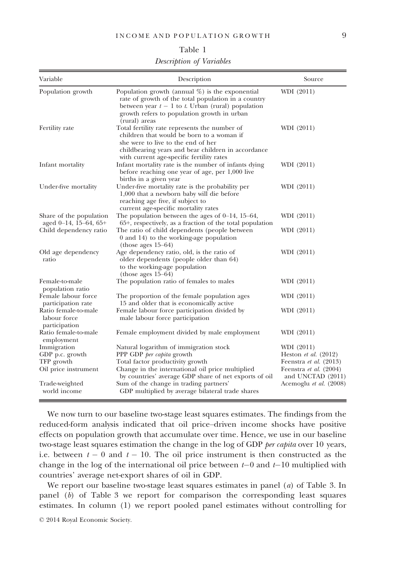#### Table 1

Description of Variables

| Variable                                                             | Description                                                                                                                                                                                                                         | Source                                                                                                        |
|----------------------------------------------------------------------|-------------------------------------------------------------------------------------------------------------------------------------------------------------------------------------------------------------------------------------|---------------------------------------------------------------------------------------------------------------|
| Population growth                                                    | Population growth (annual $\%$ ) is the exponential<br>rate of growth of the total population in a country<br>between year $t-1$ to t. Urban (rural) population<br>growth refers to population growth in urban<br>(rural) areas     | WDI (2011)                                                                                                    |
| Fertility rate                                                       | Total fertility rate represents the number of<br>children that would be born to a woman if<br>she were to live to the end of her<br>childbearing years and bear children in accordance<br>with current age-specific fertility rates | WDI (2011)                                                                                                    |
| Infant mortality                                                     | Infant mortality rate is the number of infants dying<br>before reaching one year of age, per 1,000 live<br>births in a given year                                                                                                   | WDI (2011)                                                                                                    |
| Under-five mortality                                                 | Under-five mortality rate is the probability per<br>1,000 that a newborn baby will die before<br>reaching age five, if subject to<br>current age-specific mortality rates                                                           | WDI (2011)                                                                                                    |
| Share of the population<br>aged $0-14$ , 15-64, 65+                  | The population between the ages of $0-14$ , 15-64,<br>65+, respectively, as a fraction of the total population                                                                                                                      | WDI (2011)                                                                                                    |
| Child dependency ratio                                               | The ratio of child dependents (people between<br>0 and 14) to the working-age population<br>(those ages $15-64$ )                                                                                                                   | WDI (2011)                                                                                                    |
| Old age dependency<br>ratio                                          | Age dependency ratio, old, is the ratio of<br>older dependents (people older than 64)<br>to the working-age population<br>(those ages $15-64$ )                                                                                     | WDI (2011)                                                                                                    |
| Female-to-male<br>population ratio                                   | The population ratio of females to males                                                                                                                                                                                            | WDI (2011)                                                                                                    |
| Female labour force<br>participation rate                            | The proportion of the female population ages<br>15 and older that is economically active                                                                                                                                            | WDI (2011)                                                                                                    |
| Ratio female-to-male<br>labour force<br>participation                | Female labour force participation divided by<br>male labour force participation                                                                                                                                                     | WDI (2011)                                                                                                    |
| Ratio female-to-male<br>employment                                   | Female employment divided by male employment                                                                                                                                                                                        | WDI (2011)                                                                                                    |
| Immigration<br>GDP p.c. growth<br>TFP growth<br>Oil price instrument | Natural logarithm of immigration stock<br>PPP GDP per capita growth<br>Total factor productivity growth<br>Change in the international oil price multiplied<br>by countries' average GDP share of net exports of oil                | WDI (2011)<br>Heston et al. $(2012)$<br>Feenstra et al. (2013)<br>Feenstra et al. (2004)<br>and UNCTAD (2011) |
| Trade-weighted<br>world income                                       | Sum of the change in trading partners'<br>GDP multiplied by average bilateral trade shares                                                                                                                                          | Acemoglu et al. (2008)                                                                                        |

We now turn to our baseline two-stage least squares estimates. The findings from the reduced-form analysis indicated that oil price–driven income shocks have positive effects on population growth that accumulate over time. Hence, we use in our baseline two-stage least squares estimation the change in the log of GDP per capita over 10 years, i.e. between  $t - 0$  and  $t - 10$ . The oil price instrument is then constructed as the change in the log of the international oil price between  $t-0$  and  $t-10$  multiplied with countries' average net-export shares of oil in GDP.

We report our baseline two-stage least squares estimates in panel (a) of Table 3. In panel (b) of Table 3 we report for comparison the corresponding least squares estimates. In column (1) we report pooled panel estimates without controlling for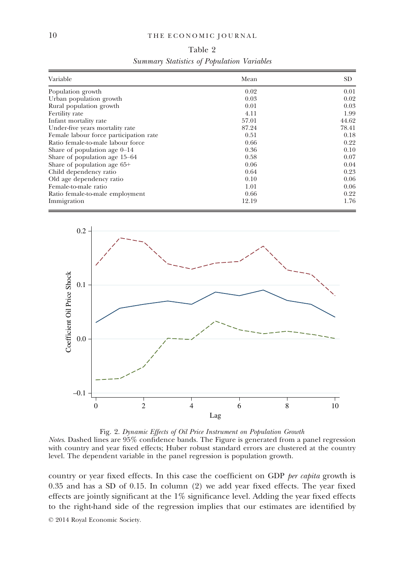## 10 THE ECONOMIC JOURNAL

|  | Table 2                                    |  |
|--|--------------------------------------------|--|
|  | Summary Statistics of Population Variables |  |

| Variable                               | Mean  | SD.   |
|----------------------------------------|-------|-------|
| Population growth                      | 0.02  | 0.01  |
| Urban population growth                | 0.03  | 0.02  |
| Rural population growth                | 0.01  | 0.03  |
| Fertility rate                         | 4.11  | 1.99  |
| Infant mortality rate                  | 57.01 | 44.62 |
| Under-five years mortality rate        | 87.24 | 78.41 |
| Female labour force participation rate | 0.51  | 0.18  |
| Ratio female-to-male labour force      | 0.66  | 0.22  |
| Share of population age $0-14$         | 0.36  | 0.10  |
| Share of population age 15–64          | 0.58  | 0.07  |
| Share of population age $65+$          | 0.06  | 0.04  |
| Child dependency ratio                 | 0.64  | 0.23  |
| Old age dependency ratio               | 0.10  | 0.06  |
| Female-to-male ratio                   | 1.01  | 0.06  |
| Ratio female-to-male employment        | 0.66  | 0.22  |
| Immigration                            | 12.19 | 1.76  |



Fig. 2. Dynamic Effects of Oil Price Instrument on Population Growth Notes. Dashed lines are 95% confidence bands. The Figure is generated from a panel regression with country and year fixed effects; Huber robust standard errors are clustered at the country level. The dependent variable in the panel regression is population growth.

country or year fixed effects. In this case the coefficient on GDP per capita growth is 0.35 and has a SD of 0.15. In column (2) we add year fixed effects. The year fixed effects are jointly significant at the  $1\%$  significance level. Adding the year fixed effects to the right-hand side of the regression implies that our estimates are identified by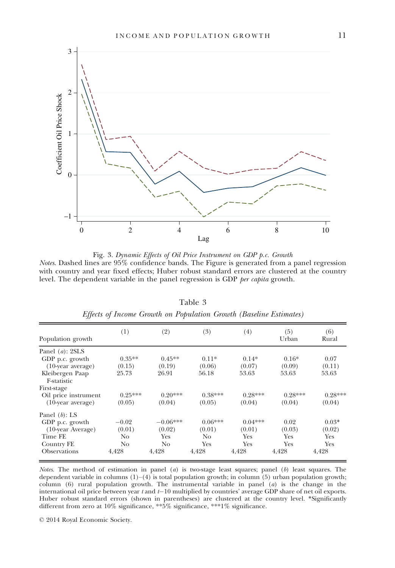

Fig. 3. Dynamic Effects of Oil Price Instrument on GDP p.c. Growth Notes. Dashed lines are 95% confidence bands. The Figure is generated from a panel regression with country and year fixed effects; Huber robust standard errors are clustered at the country level. The dependent variable in the panel regression is GDP per capita growth.

| Population growth              | (1)       | (2)        | (3)       | (4)       | (5)<br>Urban | (6)<br>Rural |
|--------------------------------|-----------|------------|-----------|-----------|--------------|--------------|
| Panel $(a)$ : 2SLS             |           |            |           |           |              |              |
| GDP p.c. growth                | $0.35**$  | $0.45**$   | $0.11*$   | $0.14*$   | $0.16*$      | 0.07         |
| $(10$ -year average)           | (0.15)    | (0.19)     | (0.06)    | (0.07)    | (0.09)       | (0.11)       |
| Kleibergen Paap<br>F-statistic | 25.73     | 26.91      | 56.18     | 53.63     | 53.63        | 53.63        |
| First-stage                    |           |            |           |           |              |              |
| Oil price instrument           | $0.25***$ | $0.20***$  | $0.38***$ | $0.28***$ | $0.28***$    | $0.28***$    |
| $(10$ -year average)           | (0.05)    | (0.04)     | (0.05)    | (0.04)    | (0.04)       | (0.04)       |
| Panel $(b)$ : LS               |           |            |           |           |              |              |
| GDP p.c. growth                | $-0.02$   | $-0.06***$ | $0.06***$ | $0.04***$ | 0.02         | $0.03*$      |
| $(10$ -year Average)           | (0.01)    | (0.02)     | (0.01)    | (0.01)    | (0.03)       | (0.02)       |
| Time FE                        | No        | Yes        | No.       | Yes       | Yes          | <b>Yes</b>   |
| Country FE                     | No        | No         | Yes       | Yes       | Yes          | Yes          |
| <b>Observations</b>            | 4,428     | 4,428      | 4,428     | 4,428     | 4,428        | 4,428        |

Table 3 Effects of Income Growth on Population Growth (Baseline Estimates)

Notes. The method of estimation in panel (a) is two-stage least squares; panel (b) least squares. The dependent variable in columns  $(1)$ – $(4)$  is total population growth; in column (5) urban population growth; column (6) rural population growth. The instrumental variable in panel  $(a)$  is the change in the international oil price between year  $t$  and  $t-10$  multiplied by countries' average GDP share of net oil exports. Huber robust standard errors (shown in parentheses) are clustered at the country level. \*Significantly different from zero at 10% significance, \*\*5% significance, \*\*\*1% significance.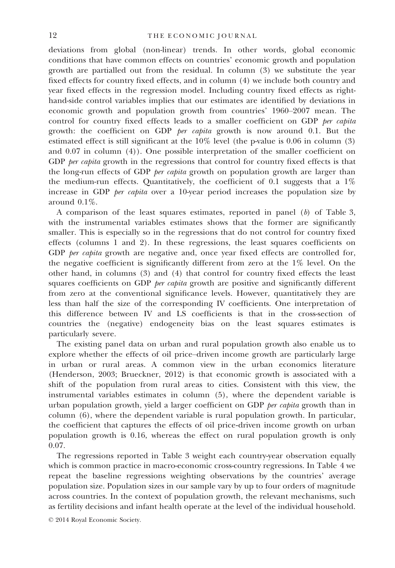deviations from global (non-linear) trends. In other words, global economic conditions that have common effects on countries' economic growth and population growth are partialled out from the residual. In column (3) we substitute the year fixed effects for country fixed effects, and in column (4) we include both country and year fixed effects in the regression model. Including country fixed effects as righthand-side control variables implies that our estimates are identified by deviations in economic growth and population growth from countries' 1960–2007 mean. The control for country fixed effects leads to a smaller coefficient on GDP *ber capita* growth: the coefficient on GDP *per capita* growth is now around  $0.1$ . But the estimated effect is still significant at the 10% level (the p-value is 0.06 in column (3) and 0.07 in column (4)). One possible interpretation of the smaller coefficient on GDP per capita growth in the regressions that control for country fixed effects is that the long-run effects of GDP *per capita* growth on population growth are larger than the medium-run effects. Quantitatively, the coefficient of 0.1 suggests that a 1% increase in GDP *per capita* over a 10-year period increases the population size by around 0.1%.

A comparison of the least squares estimates, reported in panel (b) of Table 3, with the instrumental variables estimates shows that the former are significantly smaller. This is especially so in the regressions that do not control for country fixed effects (columns 1 and 2). In these regressions, the least squares coefficients on GDP *per capita* growth are negative and, once year fixed effects are controlled for, the negative coefficient is significantly different from zero at the 1% level. On the other hand, in columns (3) and (4) that control for country fixed effects the least squares coefficients on GDP per capita growth are positive and significantly different from zero at the conventional significance levels. However, quantitatively they are less than half the size of the corresponding IV coefficients. One interpretation of this difference between IV and LS coefficients is that in the cross-section of countries the (negative) endogeneity bias on the least squares estimates is particularly severe.

The existing panel data on urban and rural population growth also enable us to explore whether the effects of oil price–driven income growth are particularly large in urban or rural areas. A common view in the urban economics literature (Henderson, 2003; Brueckner, 2012) is that economic growth is associated with a shift of the population from rural areas to cities. Consistent with this view, the instrumental variables estimates in column (5), where the dependent variable is urban population growth, yield a larger coefficient on GDP *per capita* growth than in column (6), where the dependent variable is rural population growth. In particular, the coefficient that captures the effects of oil price-driven income growth on urban population growth is 0.16, whereas the effect on rural population growth is only 0.07.

The regressions reported in Table 3 weight each country-year observation equally which is common practice in macro-economic cross-country regressions. In Table 4 we repeat the baseline regressions weighting observations by the countries' average population size. Population sizes in our sample vary by up to four orders of magnitude across countries. In the context of population growth, the relevant mechanisms, such as fertility decisions and infant health operate at the level of the individual household.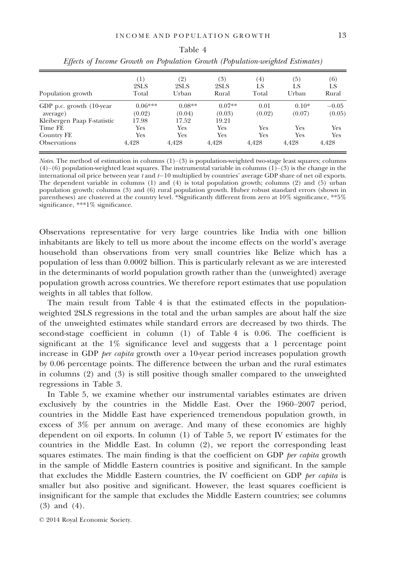|  |  | . . |  |
|--|--|-----|--|

|                                       | (1)                 | (2)                | (3)                | (4)            | (5)               | (6)               |
|---------------------------------------|---------------------|--------------------|--------------------|----------------|-------------------|-------------------|
| Population growth                     | 2SLS<br>Total       | 2SLS<br>Urban      | 2SLS<br>Rural      | LS<br>Total    | LS<br>Urban       | LS<br>Rural       |
| GDP p.c. growth (10-year)<br>average) | $0.06***$<br>(0.02) | $0.08**$<br>(0.04) | $0.07**$<br>(0.03) | 0.01<br>(0.02) | $0.10*$<br>(0.07) | $-0.05$<br>(0.05) |
| Kleibergen Paap F-statistic           | 17.98               | 17.52              | 19.21              |                |                   |                   |
| Time FE                               | Yes                 | Yes                | Yes                | <b>Yes</b>     | Yes               | Yes               |
| Country FE                            | Yes                 | Yes                | Yes                | Yes            | Yes               | <b>Yes</b>        |
| <b>Observations</b>                   | 4,428               | 4,428              | 4,428              | 4.428          | 4,428             | 4,428             |

Table 4 Effects of Income Growth on Population Growth (Population-weighted Estimates)

*Notes*. The method of estimation in columns  $(1)$ – $(3)$  is population-weighted two-stage least squares; columns  $(4)$ – $(6)$  population-weighted least squares. The instrumental variable in columns  $(1)$ – $(3)$  is the change in the international oil price between year  $t$  and  $t-10$  multiplied by countries' average GDP share of net oil exports. The dependent variable in columns (1) and (4) is total population growth; columns (2) and (5) urban population growth; columns (3) and (6) rural population growth. Huber robust standard errors (shown in parentheses) are clustered at the country level. \*Significantly different from zero at 10% significance, \*\*5% significance,  $^{***1\%}$  significance.

Observations representative for very large countries like India with one billion inhabitants are likely to tell us more about the income effects on the world's average household than observations from very small countries like Belize which has a population of less than 0.0002 billion. This is particularly relevant as we are interested in the determinants of world population growth rather than the (unweighted) average population growth across countries. We therefore report estimates that use population weights in all tables that follow.

The main result from Table 4 is that the estimated effects in the populationweighted 2SLS regressions in the total and the urban samples are about half the size of the unweighted estimates while standard errors are decreased by two thirds. The second-stage coefficient in column (1) of Table 4 is 0.06. The coefficient is significant at the  $1\%$  significance level and suggests that a 1 percentage point increase in GDP *per capita* growth over a 10-year period increases population growth by 0.06 percentage points. The difference between the urban and the rural estimates in columns (2) and (3) is still positive though smaller compared to the unweighted regressions in Table 3.

In Table 5, we examine whether our instrumental variables estimates are driven exclusively by the countries in the Middle East. Over the 1960–2007 period, countries in the Middle East have experienced tremendous population growth, in excess of 3% per annum on average. And many of these economies are highly dependent on oil exports. In column (1) of Table 5, we report IV estimates for the countries in the Middle East. In column (2), we report the corresponding least squares estimates. The main finding is that the coefficient on GDP *per capita* growth in the sample of Middle Eastern countries is positive and significant. In the sample that excludes the Middle Eastern countries, the IV coefficient on GDP per capita is smaller but also positive and significant. However, the least squares coefficient is insignificant for the sample that excludes the Middle Eastern countries; see columns (3) and (4).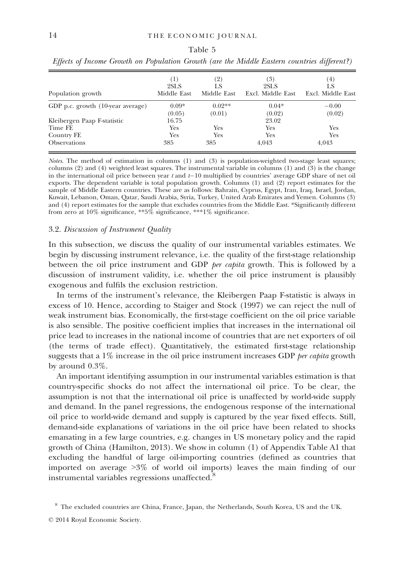| Population growth                 | (1)<br>2SLS<br>Middle East | (2)<br>LS<br>Middle East | (3)<br>2SLS<br>Excl. Middle East | (4)<br>LS<br>Excl. Middle East |
|-----------------------------------|----------------------------|--------------------------|----------------------------------|--------------------------------|
| GDP p.c. growth (10-year average) | $0.09*$<br>(0.05)          | $0.02**$<br>(0.01)       | $0.04*$<br>(0.02)                | $-0.00$<br>(0.02)              |
| Kleibergen Paap F-statistic       | 16.75                      |                          | 23.02                            |                                |
| Time FE                           | Yes                        | Yes                      | Yes                              | Yes                            |
| Country FE                        | Yes                        | Yes                      | Yes                              | Yes                            |
| <b>Observations</b>               | 385                        | 385                      | 4.043                            | 4.043                          |

Table 5 Effects of Income Growth on Population Growth (are the Middle Eastern countries different?)

Notes. The method of estimation in columns (1) and (3) is population-weighted two-stage least squares; columns (2) and (4) weighted least squares. The instrumental variable in columns (1) and (3) is the change in the international oil price between year  $t$  and  $t-10$  multiplied by countries' average GDP share of net oil exports. The dependent variable is total population growth. Columns (1) and (2) report estimates for the sample of Middle Eastern countries. These are as follows: Bahrain, Cyprus, Egypt, Iran, Iraq, Israel, Jordan, Kuwait, Lebanon, Oman, Qatar, Saudi Arabia, Syria, Turkey, United Arab Emirates and Yemen. Columns (3) and (4) report estimates for the sample that excludes countries from the Middle East. \*Significantly different from zero at 10% significance, \*\*5% significance, \*\*\*1% significance.

#### 3.2. Discussion of Instrument Quality

In this subsection, we discuss the quality of our instrumental variables estimates. We begin by discussing instrument relevance, i.e. the quality of the first-stage relationship between the oil price instrument and GDP *per capita* growth. This is followed by a discussion of instrument validity, i.e. whether the oil price instrument is plausibly exogenous and fulfils the exclusion restriction.

In terms of the instrument's relevance, the Kleibergen Paap F-statistic is always in excess of 10. Hence, according to Staiger and Stock (1997) we can reject the null of weak instrument bias. Economically, the first-stage coefficient on the oil price variable is also sensible. The positive coefficient implies that increases in the international oil price lead to increases in the national income of countries that are net exporters of oil (the terms of trade effect). Quantitatively, the estimated first-stage relationship suggests that a  $1\%$  increase in the oil price instrument increases GDP *per capita* growth by around 0.3%.

An important identifying assumption in our instrumental variables estimation is that country-specific shocks do not affect the international oil price. To be clear, the assumption is not that the international oil price is unaffected by world-wide supply and demand. In the panel regressions, the endogenous response of the international oil price to world-wide demand and supply is captured by the year fixed effects. Still, demand-side explanations of variations in the oil price have been related to shocks emanating in a few large countries, e.g. changes in US monetary policy and the rapid growth of China (Hamilton, 2013). We show in column (1) of Appendix Table A1 that excluding the handful of large oil-importing countries (defined as countries that imported on average >3% of world oil imports) leaves the main finding of our instrumental variables regressions unaffected.<sup>8</sup>

<sup>8</sup> The excluded countries are China, France, Japan, the Netherlands, South Korea, US and the UK.

<sup>©</sup> 2014 Royal Economic Society.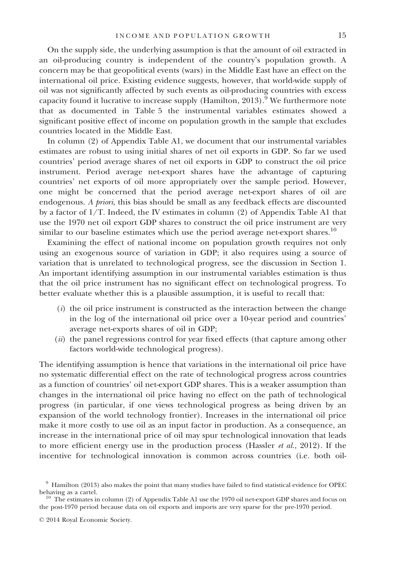On the supply side, the underlying assumption is that the amount of oil extracted in an oil-producing country is independent of the country's population growth. A concern may be that geopolitical events (wars) in the Middle East have an effect on the international oil price. Existing evidence suggests, however, that world-wide supply of oil was not significantly affected by such events as oil-producing countries with excess capacity found it lucrative to increase supply (Hamilton,  $2013$ ).<sup>9</sup> We furthermore note that as documented in Table 5 the instrumental variables estimates showed a significant positive effect of income on population growth in the sample that excludes countries located in the Middle East.

In column (2) of Appendix Table A1, we document that our instrumental variables estimates are robust to using initial shares of net oil exports in GDP. So far we used countries' period average shares of net oil exports in GDP to construct the oil price instrument. Period average net-export shares have the advantage of capturing countries' net exports of oil more appropriately over the sample period. However, one might be concerned that the period average net-export shares of oil are endogenous. A priori, this bias should be small as any feedback effects are discounted by a factor of 1/T. Indeed, the IV estimates in column (2) of Appendix Table A1 that use the 1970 net oil export GDP shares to construct the oil price instrument are very similar to our baseline estimates which use the period average net-export shares.<sup>10</sup>

Examining the effect of national income on population growth requires not only using an exogenous source of variation in GDP; it also requires using a source of variation that is unrelated to technological progress, see the discussion in Section 1. An important identifying assumption in our instrumental variables estimation is thus that the oil price instrument has no significant effect on technological progress. To better evaluate whether this is a plausible assumption, it is useful to recall that:

- $(i)$  the oil price instrument is constructed as the interaction between the change in the log of the international oil price over a 10-year period and countries' average net-exports shares of oil in GDP;
- $(ii)$  the panel regressions control for year fixed effects (that capture among other factors world-wide technological progress).

The identifying assumption is hence that variations in the international oil price have no systematic differential effect on the rate of technological progress across countries as a function of countries' oil net-export GDP shares. This is a weaker assumption than changes in the international oil price having no effect on the path of technological progress (in particular, if one views technological progress as being driven by an expansion of the world technology frontier). Increases in the international oil price make it more costly to use oil as an input factor in production. As a consequence, an increase in the international price of oil may spur technological innovation that leads to more efficient energy use in the production process (Hassler  $et al., 2012$ ). If the incentive for technological innovation is common across countries (i.e. both oil-

 $9$  Hamilton (2013) also makes the point that many studies have failed to find statistical evidence for OPEC behaving as a cartel.

 $\frac{10}{10}$  The estimates in column (2) of Appendix Table A1 use the 1970 oil net-export GDP shares and focus on the post-1970 period because data on oil exports and imports are very sparse for the pre-1970 period.

<sup>©</sup> 2014 Royal Economic Society.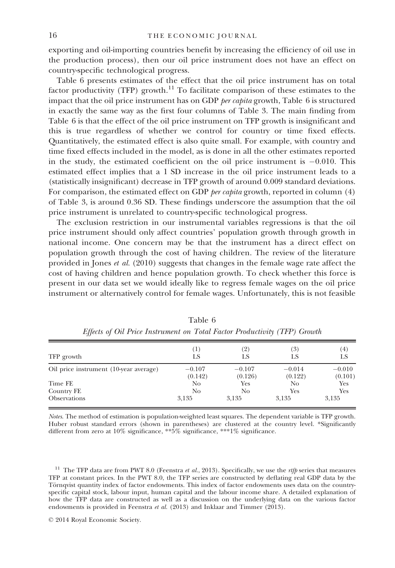exporting and oil-importing countries benefit by increasing the efficiency of oil use in the production process), then our oil price instrument does not have an effect on country-specific technological progress.

Table 6 presents estimates of the effect that the oil price instrument has on total factor productivity (TFP) growth.<sup>11</sup> To facilitate comparison of these estimates to the impact that the oil price instrument has on GDP per capita growth, Table 6 is structured in exactly the same way as the first four columns of Table 3. The main finding from Table 6 is that the effect of the oil price instrument on TFP growth is insignificant and this is true regardless of whether we control for country or time fixed effects. Quantitatively, the estimated effect is also quite small. For example, with country and time fixed effects included in the model, as is done in all the other estimates reported in the study, the estimated coefficient on the oil price instrument is  $-0.010$ . This estimated effect implies that a 1 SD increase in the oil price instrument leads to a (statistically insignificant) decrease in TFP growth of around 0.009 standard deviations. For comparison, the estimated effect on GDP per capita growth, reported in column (4) of Table 3, is around 0.36 SD. These findings underscore the assumption that the oil price instrument is unrelated to country-specific technological progress.

The exclusion restriction in our instrumental variables regressions is that the oil price instrument should only affect countries' population growth through growth in national income. One concern may be that the instrument has a direct effect on population growth through the cost of having children. The review of the literature provided in Jones et al. (2010) suggests that changes in the female wage rate affect the cost of having children and hence population growth. To check whether this force is present in our data set we would ideally like to regress female wages on the oil price instrument or alternatively control for female wages. Unfortunately, this is not feasible

| $^{(1)}$<br>LS      | (2)<br>LS           | $\left( 3\right)$<br>LS | $\left( 4\right)$<br>LS |
|---------------------|---------------------|-------------------------|-------------------------|
| $-0.107$<br>(0.142) | $-0.107$<br>(0.126) | $-0.014$<br>(0.122)     | $-0.010$<br>(0.101)     |
| No.                 | Yes                 | No                      | Yes                     |
| 3,135               | 3.135               | 3,135                   | Yes<br>3,135            |
|                     | No                  | No                      | Yes                     |

Table 6 Effects of Oil Price Instrument on Total Factor Productivity (TFP) Growth

Notes. The method of estimation is population-weighted least squares. The dependent variable is TFP growth. Huber robust standard errors (shown in parentheses) are clustered at the country level. \*Significantly different from zero at 10% significance, \*\*5% significance, \*\*\*1% significance.

<sup>11</sup> The TFP data are from PWT 8.0 (Feenstra et al., 2013). Specifically, we use the  $\pi t$  series that measures TFP at constant prices. In the PWT 8.0, the TFP series are constructed by deflating real GDP data by the Törnqvist quantity index of factor endowments. This index of factor endowments uses data on the countryspecific capital stock, labour input, human capital and the labour income share. A detailed explanation of how the TFP data are constructed as well as a discussion on the underlying data on the various factor endowments is provided in Feenstra et al. (2013) and Inklaar and Timmer (2013).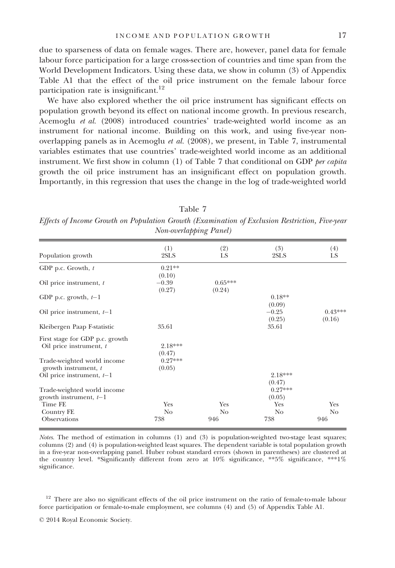due to sparseness of data on female wages. There are, however, panel data for female labour force participation for a large cross-section of countries and time span from the World Development Indicators. Using these data, we show in column (3) of Appendix Table A1 that the effect of the oil price instrument on the female labour force participation rate is insignificant.<sup>12</sup>

We have also explored whether the oil price instrument has significant effects on population growth beyond its effect on national income growth. In previous research, Acemoglu et al. (2008) introduced countries' trade-weighted world income as an instrument for national income. Building on this work, and using five-year nonoverlapping panels as in Acemoglu et al. (2008), we present, in Table 7, instrumental variables estimates that use countries' trade-weighted world income as an additional instrument. We first show in column  $(1)$  of Table 7 that conditional on GDP per capita growth the oil price instrument has an insignificant effect on population growth. Importantly, in this regression that uses the change in the log of trade-weighted world

|                                                            | <i>ivon-overtapping Fanet)</i> |                     |                     |                     |
|------------------------------------------------------------|--------------------------------|---------------------|---------------------|---------------------|
| Population growth                                          | (1)<br>2SLS                    | (2)<br>LS           | (3)<br>2SLS         | (4)<br>LS           |
| GDP p.c. Growth, $t$                                       | $0.21**$<br>(0.10)             |                     |                     |                     |
| Oil price instrument, t                                    | $-0.39$<br>(0.27)              | $0.65***$<br>(0.24) |                     |                     |
| GDP p.c. growth, $t-1$                                     |                                |                     | $0.18**$<br>(0.09)  |                     |
| Oil price instrument, $t-1$                                |                                |                     | $-0.25$<br>(0.25)   | $0.43***$<br>(0.16) |
| Kleibergen Paap F-statistic                                | 35.61                          |                     | 35.61               |                     |
| First stage for GDP p.c. growth<br>Oil price instrument, t | 2.18***<br>(0.47)              |                     |                     |                     |
| Trade-weighted world income<br>growth instrument, t        | $0.27***$<br>(0.05)            |                     |                     |                     |
| Oil price instrument, $t-1$                                |                                |                     | 2.18***<br>(0.47)   |                     |
| Trade-weighted world income<br>growth instrument, $t-1$    |                                |                     | $0.27***$<br>(0.05) |                     |
| Time FE                                                    | Yes                            | Yes                 | Yes                 | Yes                 |
| Country FE                                                 | No                             | No.                 | No                  | No                  |
| Observations                                               | 738                            | 946                 | 738                 | 946                 |

Table 7 Effects of Income Growth on Population Growth (Examination of Exclusion Restriction, Five-year  $N_{on}$  overlapping  $D_{onol}$ 

Notes. The method of estimation in columns (1) and (3) is population-weighted two-stage least squares; columns (2) and (4) is population-weighted least squares. The dependent variable is total population growth in a five-year non-overlapping panel. Huber robust standard errors (shown in parentheses) are clustered at the country level. \*Significantly different from zero at 10% significance, \*\*5% significance, \*\*\*1% significance.

<sup>&</sup>lt;sup>12</sup> There are also no significant effects of the oil price instrument on the ratio of female-to-male labour force participation or female-to-male employment, see columns (4) and (5) of Appendix Table A1.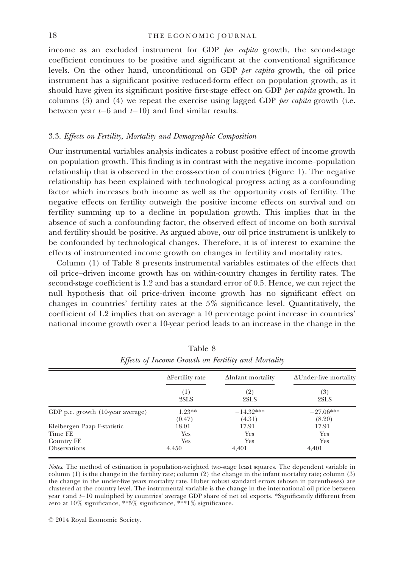### 18 THE ECONOMIC JOURNAL

income as an excluded instrument for GDP per capita growth, the second-stage coefficient continues to be positive and significant at the conventional significance levels. On the other hand, unconditional on GDP per capita growth, the oil price instrument has a significant positive reduced-form effect on population growth, as it should have given its significant positive first-stage effect on GDP per capita growth. In columns (3) and (4) we repeat the exercise using lagged GDP *per capita* growth (i.e. between year  $t-6$  and  $t-10$ ) and find similar results.

## 3.3. Effects on Fertility, Mortality and Demographic Composition

Our instrumental variables analysis indicates a robust positive effect of income growth on population growth. This finding is in contrast with the negative income–population relationship that is observed in the cross-section of countries (Figure 1). The negative relationship has been explained with technological progress acting as a confounding factor which increases both income as well as the opportunity costs of fertility. The negative effects on fertility outweigh the positive income effects on survival and on fertility summing up to a decline in population growth. This implies that in the absence of such a confounding factor, the observed effect of income on both survival and fertility should be positive. As argued above, our oil price instrument is unlikely to be confounded by technological changes. Therefore, it is of interest to examine the effects of instrumented income growth on changes in fertility and mortality rates.

Column (1) of Table 8 presents instrumental variables estimates of the effects that oil price–driven income growth has on within-country changes in fertility rates. The second-stage coefficient is 1.2 and has a standard error of 0.5. Hence, we can reject the null hypothesis that oil price-driven income growth has no significant effect on changes in countries' fertility rates at the 5% significance level. Quantitatively, the coefficient of 1.2 implies that on average a 10 percentage point increase in countries' national income growth over a 10-year period leads to an increase in the change in the

|                                   | $\Delta$ Fertility rate | <b>AInfant</b> mortality | <b>AUnder-five mortality</b> |
|-----------------------------------|-------------------------|--------------------------|------------------------------|
|                                   | (1)<br>2SLS             | (2)<br>2SLS              | (3)<br>2SLS                  |
| GDP p.c. growth (10-year average) | $1.23**$<br>(0.47)      | $-14.32***$<br>(4.31)    | $-27.06***$<br>(8.20)        |
| Kleibergen Paap F-statistic       | 18.01                   | 17.91                    | 17.91                        |
| Time FE                           | Yes                     | Yes                      | Yes                          |
| Country FE                        | Yes                     | Yes                      | Yes                          |
| <b>Observations</b>               | 4,450                   | 4,401                    | 4,401                        |

Table 8 Effects of Income Growth on Fertility and Mortality

Notes. The method of estimation is population-weighted two-stage least squares. The dependent variable in column (1) is the change in the fertility rate; column (2) the change in the infant mortality rate; column (3) the change in the under-five years mortality rate. Huber robust standard errors (shown in parentheses) are clustered at the country level. The instrumental variable is the change in the international oil price between year t and  $t-10$  multiplied by countries' average GDP share of net oil exports. \*Significantly different from zero at 10% significance, \*\*5% significance, \*\*\*1% significance.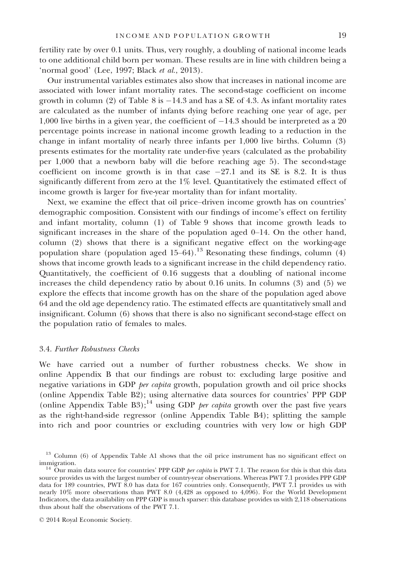fertility rate by over 0.1 units. Thus, very roughly, a doubling of national income leads to one additional child born per woman. These results are in line with children being a 'normal good' (Lee, 1997; Black et al., 2013).

Our instrumental variables estimates also show that increases in national income are associated with lower infant mortality rates. The second-stage coefficient on income growth in column (2) of Table 8 is  $-14.3$  and has a SE of 4.3. As infant mortality rates are calculated as the number of infants dying before reaching one year of age, per 1,000 live births in a given year, the coefficient of  $-14.3$  should be interpreted as a 20 percentage points increase in national income growth leading to a reduction in the change in infant mortality of nearly three infants per 1,000 live births. Column (3) presents estimates for the mortality rate under-five years (calculated as the probability per 1,000 that a newborn baby will die before reaching age 5). The second-stage coefficient on income growth is in that case  $-27.1$  and its SE is 8.2. It is thus significantly different from zero at the 1% level. Quantitatively the estimated effect of income growth is larger for five-year mortality than for infant mortality.

Next, we examine the effect that oil price–driven income growth has on countries' demographic composition. Consistent with our findings of income's effect on fertility and infant mortality, column (1) of Table 9 shows that income growth leads to significant increases in the share of the population aged 0–14. On the other hand, column (2) shows that there is a significant negative effect on the working-age population share (population aged  $15-64$ ).<sup>13</sup> Resonating these findings, column (4) shows that income growth leads to a significant increase in the child dependency ratio. Quantitatively, the coefficient of 0.16 suggests that a doubling of national income increases the child dependency ratio by about 0.16 units. In columns (3) and (5) we explore the effects that income growth has on the share of the population aged above 64 and the old age dependency ratio. The estimated effects are quantitatively small and insignificant. Column (6) shows that there is also no significant second-stage effect on the population ratio of females to males.

#### 3.4. Further Robustness Checks

We have carried out a number of further robustness checks. We show in online Appendix B that our findings are robust to: excluding large positive and negative variations in GDP per capita growth, population growth and oil price shocks (online Appendix Table B2); using alternative data sources for countries' PPP GDP (online Appendix Table B3);<sup>14</sup> using GDP *per capita* growth over the past five years as the right-hand-side regressor (online Appendix Table B4); splitting the sample into rich and poor countries or excluding countries with very low or high GDP

<sup>&</sup>lt;sup>13</sup> Column (6) of Appendix Table A1 shows that the oil price instrument has no significant effect on immigration. 14 Our main data source for countries' PPP GDP *per capita* is PWT 7.1. The reason for this is that this data

source provides us with the largest number of country-year observations. Whereas PWT 7.1 provides PPP GDP data for 189 countries, PWT 8.0 has data for 167 countries only. Consequently, PWT 7.1 provides us with nearly 10% more observations than PWT 8.0 (4,428 as opposed to 4,096). For the World Development Indicators, the data availability on PPP GDP is much sparser: this database provides us with 2,118 observations thus about half the observations of the PWT 7.1.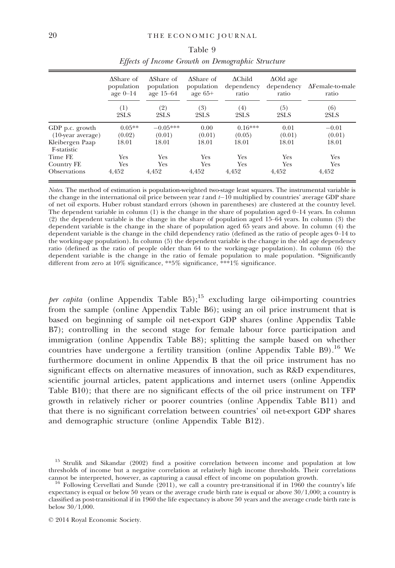|                                         | $\Delta$ Share of<br>population<br>age $0-14$ | $\Delta$ Share of<br>population<br>age 15–64 | AShare of<br>population<br>age $65+$ | $\Delta$ Child<br>dependency<br>ratio | $\Delta$ Old age<br>dependency<br>ratio | $\Delta$ Female-to-male<br>ratio |
|-----------------------------------------|-----------------------------------------------|----------------------------------------------|--------------------------------------|---------------------------------------|-----------------------------------------|----------------------------------|
|                                         | (1)<br>2SLS                                   | (2)<br>2SLS                                  | (3)<br>2SLS                          | (4)<br>2SLS                           | (5)<br>2SLS                             | (6)<br>2SLS                      |
| GDP p.c. growth<br>$(10$ -year average) | $0.05**$<br>(0.02)                            | $-0.05***$<br>(0.01)                         | 0.00<br>(0.01)                       | $0.16***$<br>(0.05)                   | 0.01<br>(0.01)                          | $-0.01$<br>(0.01)                |
| Kleibergen Paap<br>F-statistic          | 18.01                                         | 18.01                                        | 18.01                                | 18.01                                 | 18.01                                   | 18.01                            |
| Time FE                                 | Yes                                           | Yes                                          | Yes                                  | Yes                                   | Yes                                     | Yes                              |
| Country FE                              | Yes                                           | Yes                                          | Yes                                  | Yes                                   | Yes                                     | Yes                              |
| Observations                            | 4.452                                         | 4,452                                        | 4,452                                | 4,452                                 | 4,452                                   | 4,452                            |

Table 9 Effects of Income Growth on Demographic Structure

Notes. The method of estimation is population-weighted two-stage least squares. The instrumental variable is the change in the international oil price between year t and  $t-10$  multiplied by countries' average GDP share of net oil exports. Huber robust standard errors (shown in parentheses) are clustered at the country level. The dependent variable in column (1) is the change in the share of population aged 0–14 years. In column (2) the dependent variable is the change in the share of population aged 15–64 years. In column (3) the dependent variable is the change in the share of population aged 65 years and above. In column (4) the dependent variable is the change in the child dependency ratio (defined as the ratio of people ages 0–14 to the working-age population). In column (5) the dependent variable is the change in the old age dependency ratio (defined as the ratio of people older than 64 to the working-age population). In column (6) the dependent variable is the change in the ratio of female population to male population. \*Significantly different from zero at 10% significance, \*\*5% significance, \*\*\*1% significance.

*per capita* (online Appendix Table  $B5$ );<sup>15</sup> excluding large oil-importing countries from the sample (online Appendix Table B6); using an oil price instrument that is based on beginning of sample oil net-export GDP shares (online Appendix Table B7); controlling in the second stage for female labour force participation and immigration (online Appendix Table B8); splitting the sample based on whether countries have undergone a fertility transition (online Appendix Table B9).<sup>16</sup> We furthermore document in online Appendix B that the oil price instrument has no significant effects on alternative measures of innovation, such as R&D expenditures, scientific journal articles, patent applications and internet users (online Appendix Table B10); that there are no significant effects of the oil price instrument on TFP growth in relatively richer or poorer countries (online Appendix Table B11) and that there is no significant correlation between countries' oil net-export GDP shares and demographic structure (online Appendix Table B12).

<sup>&</sup>lt;sup>15</sup> Strulik and Sikandar (2002) find a positive correlation between income and population at low thresholds of income but a negative correlation at relatively high income thresholds. Their correlations

 $\alpha$ <sup>6</sup> Following Cervellati and Sunde (2011), we call a country pre-transitional if in 1960 the country's life expectancy is equal or below 50 years or the average crude birth rate is equal or above 30/1,000; a country is classified as post-transitional if in 1960 the life expectancy is above 50 years and the average crude birth rate is below  $30/1,000$ .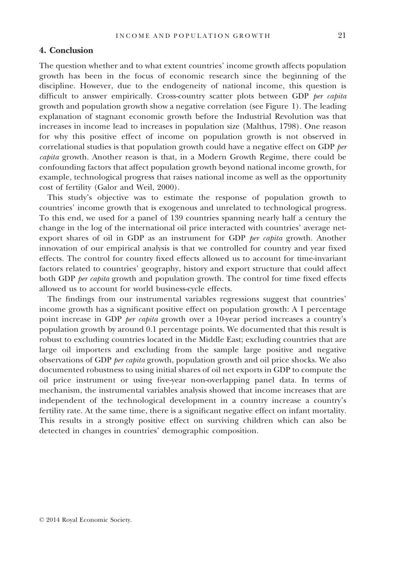## 4. Conclusion

The question whether and to what extent countries' income growth affects population growth has been in the focus of economic research since the beginning of the discipline. However, due to the endogeneity of national income, this question is difficult to answer empirically. Cross-country scatter plots between GDP per capita growth and population growth show a negative correlation (see Figure 1). The leading explanation of stagnant economic growth before the Industrial Revolution was that increases in income lead to increases in population size (Malthus, 1798). One reason for why this positive effect of income on population growth is not observed in correlational studies is that population growth could have a negative effect on GDP per capita growth. Another reason is that, in a Modern Growth Regime, there could be confounding factors that affect population growth beyond national income growth, for example, technological progress that raises national income as well as the opportunity cost of fertility (Galor and Weil, 2000).

This study's objective was to estimate the response of population growth to countries' income growth that is exogenous and unrelated to technological progress. To this end, we used for a panel of 139 countries spanning nearly half a century the change in the log of the international oil price interacted with countries' average netexport shares of oil in GDP as an instrument for GDP per capita growth. Another innovation of our empirical analysis is that we controlled for country and year fixed effects. The control for country fixed effects allowed us to account for time-invariant factors related to countries' geography, history and export structure that could affect both GDP per capita growth and population growth. The control for time fixed effects allowed us to account for world business-cycle effects.

The findings from our instrumental variables regressions suggest that countries' income growth has a significant positive effect on population growth: A 1 percentage point increase in GDP *per capita* growth over a 10-year period increases a country's population growth by around 0.1 percentage points. We documented that this result is robust to excluding countries located in the Middle East; excluding countries that are large oil importers and excluding from the sample large positive and negative observations of GDP per capita growth, population growth and oil price shocks. We also documented robustness to using initial shares of oil net exports in GDP to compute the oil price instrument or using five-year non-overlapping panel data. In terms of mechanism, the instrumental variables analysis showed that income increases that are independent of the technological development in a country increase a country's fertility rate. At the same time, there is a significant negative effect on infant mortality. This results in a strongly positive effect on surviving children which can also be detected in changes in countries' demographic composition.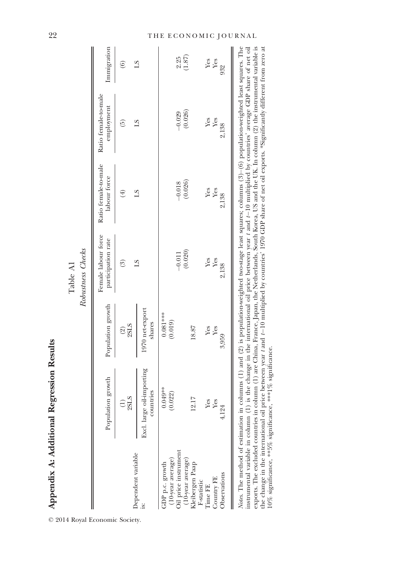|                                                              |                                                                                                                                                                                                                                                                                                                                                                                                                                                                                                                                                                    |                                  | Robustness Checks<br>Table A1             |                                      |                                                                                                                              |                        |
|--------------------------------------------------------------|--------------------------------------------------------------------------------------------------------------------------------------------------------------------------------------------------------------------------------------------------------------------------------------------------------------------------------------------------------------------------------------------------------------------------------------------------------------------------------------------------------------------------------------------------------------------|----------------------------------|-------------------------------------------|--------------------------------------|------------------------------------------------------------------------------------------------------------------------------|------------------------|
|                                                              | Population growth                                                                                                                                                                                                                                                                                                                                                                                                                                                                                                                                                  | Population growth                | Female labour force<br>participation rate | Ratio female-to-male<br>labour force | Ratio female-to-male<br>employment                                                                                           | Immigration            |
| Dependent variable                                           | 2SLS<br>$\left( \frac{1}{2} \right)$                                                                                                                                                                                                                                                                                                                                                                                                                                                                                                                               | 2SLS<br>$\widehat{\mathfrak{D}}$ | $\binom{3}{2}$                            | $\left( 4\right)$                    | $\widetilde{\Theta}$                                                                                                         | $\widehat{\mathbf{e}}$ |
| is:                                                          | Excl. large oil-importing<br>countries                                                                                                                                                                                                                                                                                                                                                                                                                                                                                                                             | 1970 net-export<br>shares        | ST                                        | $^{2}$                               | $^{2}$                                                                                                                       | $^{21}$                |
| (10-year average)<br>Oil price instrument<br>GDP p.c. growth | $0.049**$<br>0.022)                                                                                                                                                                                                                                                                                                                                                                                                                                                                                                                                                | $0.081***$<br>(0.019)            |                                           |                                      |                                                                                                                              |                        |
| (10-year average)                                            |                                                                                                                                                                                                                                                                                                                                                                                                                                                                                                                                                                    |                                  | (0.020)<br>$-0.011$                       | (0.026)<br>$-0.018$                  | (0.026)<br>$-0.029$                                                                                                          | (1.87)<br>2.25         |
| Kleibergen Paap<br>F-statistic                               | 2.17                                                                                                                                                                                                                                                                                                                                                                                                                                                                                                                                                               | 18.87                            |                                           |                                      |                                                                                                                              |                        |
| Country FE<br>Time FE                                        | Yes<br>Yes                                                                                                                                                                                                                                                                                                                                                                                                                                                                                                                                                         | Yes<br>Yes                       | Yes<br>Yes                                | Yes<br>Yes                           | Yes<br>Yes                                                                                                                   | Yes<br>Yes             |
| Observations                                                 | 4,124                                                                                                                                                                                                                                                                                                                                                                                                                                                                                                                                                              | 3,959                            | 2,138                                     | 2,138                                | 2,138                                                                                                                        | 932                    |
| exports. The excluded countries in                           | Notes. The method of estimation in columns (1) and (2) is population-weighted two-stage least squares; columns (3)-(6) population-weighted least squares. The<br>the change in the international oil price between year t and t-10 multiplied by countries' 1970 GDP share of net oil exports. *Significantly different from zero at<br>instrumental variable in column (1) is the change in the international oil price between year t and t-10 multiplied by countries' average GDP share of net oil<br>10% significance, **5% significance, ***1% significance. |                                  |                                           |                                      | column (1) are China, France, Japan, the Netherlands, South Korea, US and the UK. In column (2) the instrumental variable is |                        |

## 22 THE ECONOMIC JOURNAL

© 2014 Royal Economic Society.

Appendix A: Additional Regression Results

Appendix A: Additional Regression Results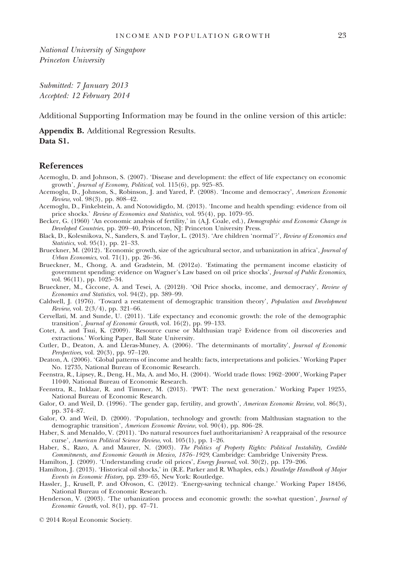National University of Singapore Princeton University

Submitted: 7 January 2013 Accepted: 12 February 2014

Additional Supporting Information may be found in the online version of this article:

Appendix B. Additional Regression Results. Data S1.

### References

- Acemoglu, D. and Johnson, S. (2007). 'Disease and development: the effect of life expectancy on economic growth', Journal of Economy, Political, vol. 115(6), pp. 925–85.
- Acemoglu, D., Johnson, S., Robinson, J. and Yared, P. (2008). 'Income and democracy', American Economic Review, vol. 98(3), pp. 808–42.
- Acemoglu, D., Finkelstein, A. and Notowidigdo, M. (2013). 'Income and health spending: evidence from oil price shocks.' Review of Economics and Statistics, vol. 95(4), pp. 1079–95.
- Becker, G. (1960) 'An economic analysis of fertility,' in (A.J. Coale, ed.), Demographic and Economic Change in Developed Countries, pp. 209–40, Princeton, NJ: Princeton University Press.
- Black, D., Kolesnikova, N., Sanders, S. and Taylor, L. (2013). 'Are children 'normal'?', Review of Economics and Statistics, vol. 95(1), pp. 21–33.
- Brueckner, M. (2012). 'Economic growth, size of the agricultural sector, and urbanization in africa', Journal of Urban Economics, vol. 71(1), pp. 26–36.
- Brueckner, M., Chong, A. and Gradstein, M. (2012a). 'Estimating the permanent income elasticity of government spending: evidence on Wagner's Law based on oil price shocks', Journal of Public Economics, vol. 96(11), pp. 1025–34.
- Brueckner, M., Ciccone, A. and Tesei, A. (2012b). 'Oil Price shocks, income, and democracy', Review of Economics and Statistics, vol. 94(2), pp. 389–99.
- Caldwell, J. (1976). 'Toward a restatement of demographic transition theory', Population and Development Review, vol. 2(3/4), pp. 321–66.
- Cervellati, M. and Sunde, U. (2011). 'Life expectancy and economic growth: the role of the demographic transition', Journal of Economic Growth, vol. 16(2), pp. 99–133.
- Cotet, A. and Tsui, K. (2009). 'Resource curse or Malthusian trap? Evidence from oil discoveries and extractions.' Working Paper, Ball State University.
- Cutler, D., Deaton, A. and Lleras-Muney, A. (2006). 'The determinants of mortality', Journal of Economic Perspectives, vol. 20(3), pp. 97–120.
- Deaton, A. (2006). 'Global patterns of income and health: facts, interpretations and policies.' Working Paper No. 12735, National Bureau of Economic Research.
- Feenstra, R., Lipsey, R., Deng, H., Ma, A. and Mo, H. (2004). 'World trade flows: 1962–2000', Working Paper 11040, National Bureau of Economic Research.
- Feenstra, R., Inklaar, R. and Timmer, M. (2013). 'PWT: The next generation.' Working Paper 19255, National Bureau of Economic Research.
- Galor, O. and Weil, D. (1996). 'The gender gap, fertility, and growth', American Economic Review, vol. 86(3), pp. 374–87.
- Galor, O. and Weil, D. (2000). 'Population, technology and growth: from Malthusian stagnation to the demographic transition', American Economic Review, vol. 90(4), pp. 806–28.
- Haber, S. and Menaldo, V. (2011). 'Do natural resources fuel authoritarianism? A reappraisal of the resource curse', American Political Science Review, vol. 105(1), pp. 1–26.
- Haber, S., Razo, A. and Maurer, N. (2003). The Politics of Property Rights: Political Instability, Credible Commitments, and Economic Growth in Mexico, 1876–1929, Cambridge: Cambridge University Press.
- Hamilton, J. (2009). 'Understanding crude oil prices', Energy Journal, vol. 30(2), pp. 179–206.
- Hamilton, J. (2013). 'Historical oil shocks,' in (R.E. Parker and R. Whaples, eds.) Routledge Handbook of Major Events in Economic History, pp. 239–65, New York: Routledge.
- Hassler, J., Krusell, P. and Olvoson, C. (2012). 'Energy-saving technical change.' Working Paper 18456, National Bureau of Economic Research.
- Henderson, V. (2003). 'The urbanization process and economic growth: the so-what question', *Journal of* Economic Growth, vol. 8(1), pp. 47–71.